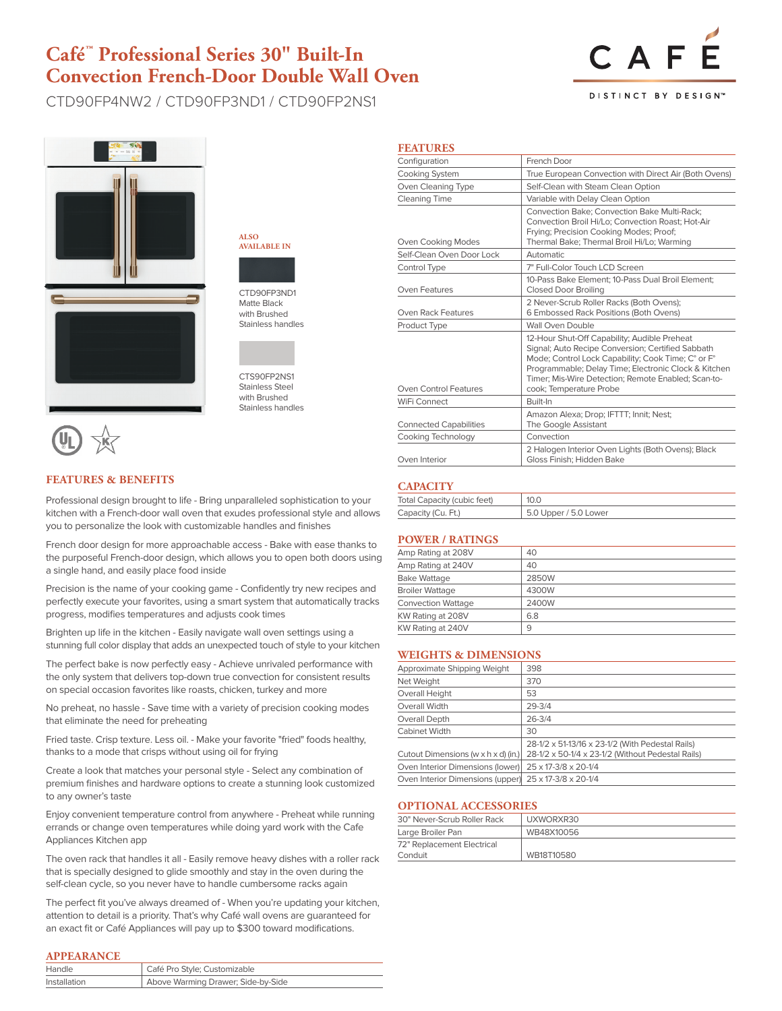# **Café™ Professional Series 30" Built-In Convection French-Door Double Wall Oven**

CTD90FP4NW2 / CTD90FP3ND1 / CTD90FP2NS1



DISTINCT BY DESIGN<sup>®</sup>



**ALSO AVAILABLE IN**

CTD90FP3ND1 Matte Black with Brushed Stainless handles



Stainless Steel with Brushed Stainless handles

### **FEATURES & BENEFITS**

Professional design brought to life - Bring unparalleled sophistication to your kitchen with a French-door wall oven that exudes professional style and allows you to personalize the look with customizable handles and finishes

French door design for more approachable access - Bake with ease thanks to the purposeful French-door design, which allows you to open both doors using a single hand, and easily place food inside

Precision is the name of your cooking game - Confidently try new recipes and perfectly execute your favorites, using a smart system that automatically tracks progress, modifies temperatures and adjusts cook times

Brighten up life in the kitchen - Easily navigate wall oven settings using a stunning full color display that adds an unexpected touch of style to your kitchen

The perfect bake is now perfectly easy - Achieve unrivaled performance with the only system that delivers top-down true convection for consistent results on special occasion favorites like roasts, chicken, turkey and more

No preheat, no hassle - Save time with a variety of precision cooking modes that eliminate the need for preheating

Fried taste. Crisp texture. Less oil. - Make your favorite "fried" foods healthy, thanks to a mode that crisps without using oil for frying

Create a look that matches your personal style - Select any combination of premium finishes and hardware options to create a stunning look customized to any owner's taste

Enjoy convenient temperature control from anywhere - Preheat while running errands or change oven temperatures while doing yard work with the Cafe Appliances Kitchen app

The oven rack that handles it all - Easily remove heavy dishes with a roller rack that is specially designed to glide smoothly and stay in the oven during the self-clean cycle, so you never have to handle cumbersome racks again

The perfect fit you've always dreamed of - When you're updating your kitchen, attention to detail is a priority. That's why Café wall ovens are guaranteed for an exact fit or Café Appliances will pay up to \$300 toward modifications.

#### **APPEARANCE**

| Handle       | <sup>1</sup> Café Pro Style; Customizable |
|--------------|-------------------------------------------|
| Installation | Above Warming Drawer; Side-by-Side        |

### **FEATURES**

| Configuration                 | French Door                                                                                                                                                                                                                                                                                       |  |  |  |
|-------------------------------|---------------------------------------------------------------------------------------------------------------------------------------------------------------------------------------------------------------------------------------------------------------------------------------------------|--|--|--|
| Cooking System                | True European Convection with Direct Air (Both Ovens)                                                                                                                                                                                                                                             |  |  |  |
| Oven Cleaning Type            | Self-Clean with Steam Clean Option                                                                                                                                                                                                                                                                |  |  |  |
| <b>Cleaning Time</b>          | Variable with Delay Clean Option                                                                                                                                                                                                                                                                  |  |  |  |
| Oven Cooking Modes            | <b>Convection Bake: Convection Bake Multi-Rack:</b><br>Convection Broil Hi/Lo: Convection Roast: Hot-Air<br>Frying; Precision Cooking Modes; Proof;<br>Thermal Bake; Thermal Broil Hi/Lo; Warming                                                                                                 |  |  |  |
| Self-Clean Oven Door Lock     | Automatic                                                                                                                                                                                                                                                                                         |  |  |  |
| Control Type                  | 7" Full-Color Touch LCD Screen                                                                                                                                                                                                                                                                    |  |  |  |
| Oven Features                 | 10-Pass Bake Element: 10-Pass Dual Broil Element:<br><b>Closed Door Broiling</b>                                                                                                                                                                                                                  |  |  |  |
| Oven Rack Features            | 2 Never-Scrub Roller Racks (Both Ovens);<br>6 Embossed Rack Positions (Both Ovens)                                                                                                                                                                                                                |  |  |  |
| Product Type                  | Wall Oven Double                                                                                                                                                                                                                                                                                  |  |  |  |
| Oven Control Features         | 12-Hour Shut-Off Capability; Audible Preheat<br>Signal; Auto Recipe Conversion; Certified Sabbath<br>Mode; Control Lock Capability; Cook Time; C° or F°<br>Programmable; Delay Time; Electronic Clock & Kitchen<br>Timer; Mis-Wire Detection; Remote Enabled; Scan-to-<br>cook; Temperature Probe |  |  |  |
| WiFi Connect                  | Built-In                                                                                                                                                                                                                                                                                          |  |  |  |
| <b>Connected Capabilities</b> | Amazon Alexa; Drop; IFTTT; Innit; Nest;<br>The Google Assistant                                                                                                                                                                                                                                   |  |  |  |
| Cooking Technology            | Convection                                                                                                                                                                                                                                                                                        |  |  |  |
| Oven Interior                 | 2 Halogen Interior Oven Lights (Both Ovens); Black<br>Gloss Finish: Hidden Bake                                                                                                                                                                                                                   |  |  |  |

## **CAPACITY**

| Total Capacity (cubic feet) | 10.0                  |
|-----------------------------|-----------------------|
| Capacity (Cu. Ft.)          | 5.0 Upper / 5.0 Lower |

### **POWER / RATINGS**

| 40    |
|-------|
| 40    |
| 2850W |
| 4300W |
| 2400W |
| 6.8   |
| 9     |
|       |

#### **WEIGHTS & DIMENSIONS**

| Approximate Shipping Weight                           | 398                                                                                                   |
|-------------------------------------------------------|-------------------------------------------------------------------------------------------------------|
| Net Weight                                            | 370                                                                                                   |
| Overall Height                                        | 53                                                                                                    |
| Overall Width                                         | $29 - 3/4$                                                                                            |
| Overall Depth                                         | $26 - 3/4$                                                                                            |
| <b>Cabinet Width</b>                                  | 30                                                                                                    |
| Cutout Dimensions (w x h x d) (in.)                   | 28-1/2 x 51-13/16 x 23-1/2 (With Pedestal Rails)<br>28-1/2 x 50-1/4 x 23-1/2 (Without Pedestal Rails) |
| Oven Interior Dimensions (lower)                      | 25 x 17-3/8 x 20-1/4                                                                                  |
| Oven Interior Dimensions (upper) 25 x 17-3/8 x 20-1/4 |                                                                                                       |
|                                                       |                                                                                                       |

#### **OPTIONAL ACCESSORIES**

| 30" Never-Scrub Roller Rack | UXWORXR30  |  |  |  |
|-----------------------------|------------|--|--|--|
| Large Broiler Pan           | WB48X10056 |  |  |  |
| 72" Replacement Electrical  |            |  |  |  |
| Conduit                     | WB18T10580 |  |  |  |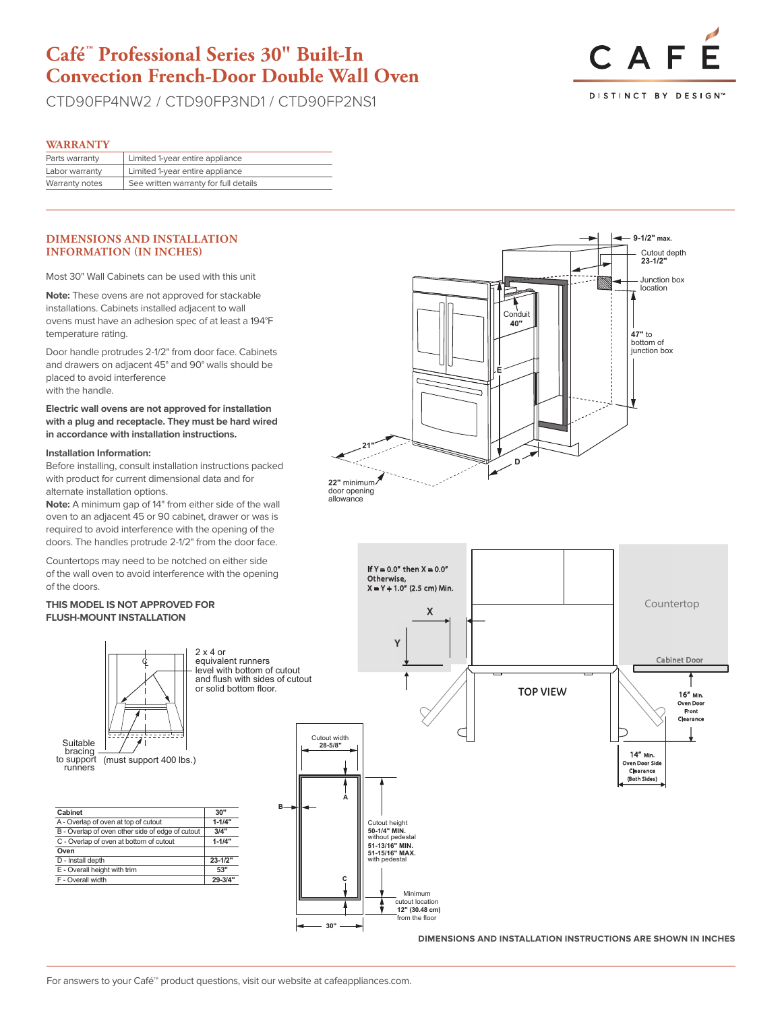# **Café™ Professional Series 30" Built-In Convection French-Door Double Wall Oven**

CTD90FP4NW2 / CTD90FP3ND1 / CTD90FP2NS1



#### **WARRANTY**

| Parts warranty | Limited 1-year entire appliance       |
|----------------|---------------------------------------|
| Labor warranty | Limited 1-year entire appliance       |
| Warranty notes | See written warranty for full details |

#### **DIMENSIONS AND INSTALLATION INFORMATION (IN INCHES)**

Most 30" Wall Cabinets can be used with this unit

**Note:** These ovens are not approved for stackable installations. Cabinets installed adjacent to wall ovens must have an adhesion spec of at least a 194°F temperature rating.

Door handle protrudes 2-1/2" from door face. Cabinets and drawers on adjacent 45° and 90° walls should be placed to avoid interference with the handle.

# **Electric wall ovens are not approved for installation**  F **with a plug and receptacle. They must be hard wired**  in accordance with installation instructions.

#### **Installation Information:**

Before installing, consult installation instructions packed with product for current dimensional data and for alternate installation options.

**Note:** A minimum gap of 14" from either side of the wall oven to an adjacent 45 or 90 cabinet, drawer or was is required to avoid interference with the opening of the doors. The handles protrude 2-1/2" from the door face.

Countertops may need to be notched on either side of the wall oven to avoid interference with the opening **A** of the doors.

#### THIS MODEL IS NOT APPROVED FOR **FLUSH-MOUNT INSTALLATION 50-1/4" MIN.**  $m_{\rm e}$



F - Overall width **29-3/4"**

level with bottom of cutout

| k 4 or<br>uivalent runners                                                       |                                          | Y                                                                                                                                                                        |                 |
|----------------------------------------------------------------------------------|------------------------------------------|--------------------------------------------------------------------------------------------------------------------------------------------------------------------------|-----------------|
| vel with bottom of cutout<br>d flush with sides of cutout<br>solid bottom floor. |                                          |                                                                                                                                                                          | <b>TOP VIEY</b> |
| в.<br>30"<br>$1 - 1/4"$<br>3/4"<br>$1 - 1/4"$<br>$23 - 1/2"$<br>53"<br>29-3/4"   | Cutout width<br>28-5/8"<br>A<br>c<br>30" | Cutout height<br>50-1/4" MIN.<br>without pedestal<br>51-13/16" MIN.<br>51-15/16" MAX.<br>with pedestal<br>Minimum<br>cutout location<br>12" (30.48 cm)<br>from the floor |                 |





**DIMENSIONS AND INSTALLATION INSTRUCTIONS ARE SHOWN IN INCHES**